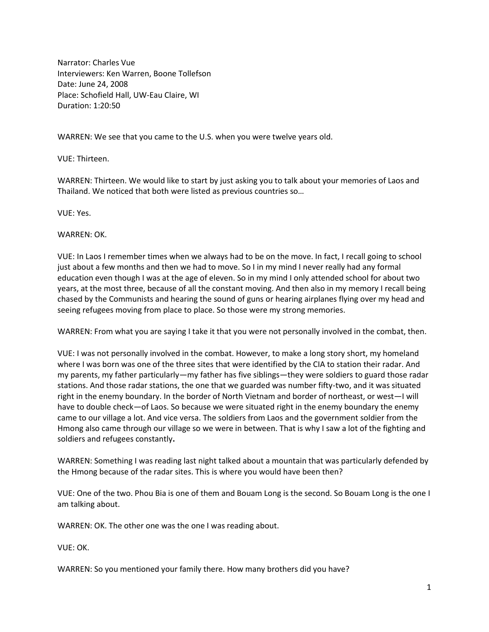Narrator: Charles Vue Interviewers: Ken Warren, Boone Tollefson Date: June 24, 2008 Place: Schofield Hall, UW-Eau Claire, WI Duration: 1:20:50

WARREN: We see that you came to the U.S. when you were twelve years old.

VUE: Thirteen.

WARREN: Thirteen. We would like to start by just asking you to talk about your memories of Laos and Thailand. We noticed that both were listed as previous countries so…

VUE: Yes.

WARREN: OK.

VUE: In Laos I remember times when we always had to be on the move. In fact, I recall going to school just about a few months and then we had to move. So I in my mind I never really had any formal education even though I was at the age of eleven. So in my mind I only attended school for about two years, at the most three, because of all the constant moving. And then also in my memory I recall being chased by the Communists and hearing the sound of guns or hearing airplanes flying over my head and seeing refugees moving from place to place. So those were my strong memories.

WARREN: From what you are saying I take it that you were not personally involved in the combat, then.

VUE: I was not personally involved in the combat. However, to make a long story short, my homeland where I was born was one of the three sites that were identified by the CIA to station their radar. And my parents, my father particularly—my father has five siblings—they were soldiers to guard those radar stations. And those radar stations, the one that we guarded was number fifty-two, and it was situated right in the enemy boundary. In the border of North Vietnam and border of northeast, or west—I will have to double check—of Laos. So because we were situated right in the enemy boundary the enemy came to our village a lot. And vice versa. The soldiers from Laos and the government soldier from the Hmong also came through our village so we were in between. That is why I saw a lot of the fighting and soldiers and refugees constantly**.**

WARREN: Something I was reading last night talked about a mountain that was particularly defended by the Hmong because of the radar sites. This is where you would have been then?

VUE: One of the two. Phou Bia is one of them and Bouam Long is the second. So Bouam Long is the one I am talking about.

WARREN: OK. The other one was the one I was reading about.

VUE: OK.

WARREN: So you mentioned your family there. How many brothers did you have?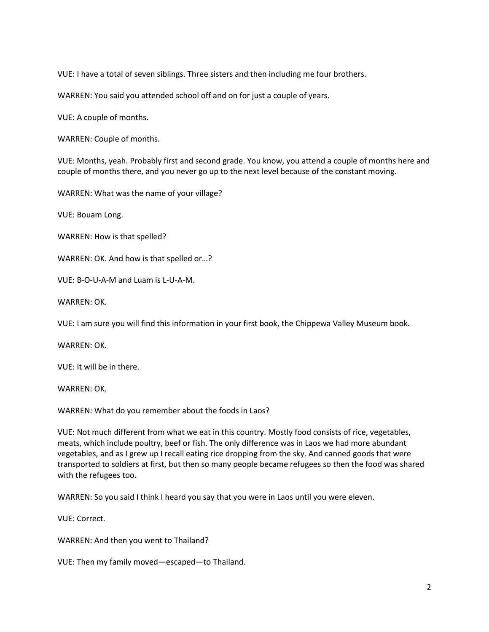VUE: I have a total of seven siblings. Three sisters and then including me four brothers.

WARREN: You said you attended school off and on for just a couple of years.

VUE: A couple of months.

WARREN: Couple of months.

VUE: Months, yeah. Probably first and second grade. You know, you attend a couple of months here and couple of months there, and you never go up to the next level because of the constant moving.

WARREN: What was the name of your village?

VUE: Bouam Long.

WARREN: How is that spelled?

WARREN: OK. And how is that spelled or…?

VUE: B-O-U-A-M and Luam is L-U-A-M.

WARREN: OK.

VUE: I am sure you will find this information in your first book, the Chippewa Valley Museum book.

WARREN: OK.

VUE: It will be in there.

WARREN: OK.

WARREN: What do you remember about the foods in Laos?

VUE: Not much different from what we eat in this country. Mostly food consists of rice, vegetables, meats, which include poultry, beef or fish. The only difference was in Laos we had more abundant vegetables, and as I grew up I recall eating rice dropping from the sky. And canned goods that were transported to soldiers at first, but then so many people became refugees so then the food was shared with the refugees too.

WARREN: So you said I think I heard you say that you were in Laos until you were eleven.

VUE: Correct.

WARREN: And then you went to Thailand?

VUE: Then my family moved—escaped—to Thailand.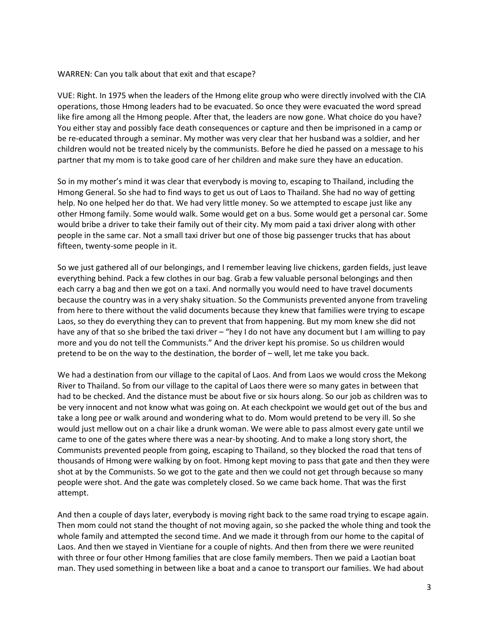## WARREN: Can you talk about that exit and that escape?

VUE: Right. In 1975 when the leaders of the Hmong elite group who were directly involved with the CIA operations, those Hmong leaders had to be evacuated. So once they were evacuated the word spread like fire among all the Hmong people. After that, the leaders are now gone. What choice do you have? You either stay and possibly face death consequences or capture and then be imprisoned in a camp or be re-educated through a seminar. My mother was very clear that her husband was a soldier, and her children would not be treated nicely by the communists. Before he died he passed on a message to his partner that my mom is to take good care of her children and make sure they have an education.

So in my mother's mind it was clear that everybody is moving to, escaping to Thailand, including the Hmong General. So she had to find ways to get us out of Laos to Thailand. She had no way of getting help. No one helped her do that. We had very little money. So we attempted to escape just like any other Hmong family. Some would walk. Some would get on a bus. Some would get a personal car. Some would bribe a driver to take their family out of their city. My mom paid a taxi driver along with other people in the same car. Not a small taxi driver but one of those big passenger trucks that has about fifteen, twenty-some people in it.

So we just gathered all of our belongings, and I remember leaving live chickens, garden fields, just leave everything behind. Pack a few clothes in our bag. Grab a few valuable personal belongings and then each carry a bag and then we got on a taxi. And normally you would need to have travel documents because the country was in a very shaky situation. So the Communists prevented anyone from traveling from here to there without the valid documents because they knew that families were trying to escape Laos, so they do everything they can to prevent that from happening. But my mom knew she did not have any of that so she bribed the taxi driver – "hey I do not have any document but I am willing to pay more and you do not tell the Communists." And the driver kept his promise. So us children would pretend to be on the way to the destination, the border of – well, let me take you back.

We had a destination from our village to the capital of Laos. And from Laos we would cross the Mekong River to Thailand. So from our village to the capital of Laos there were so many gates in between that had to be checked. And the distance must be about five or six hours along. So our job as children was to be very innocent and not know what was going on. At each checkpoint we would get out of the bus and take a long pee or walk around and wondering what to do. Mom would pretend to be very ill. So she would just mellow out on a chair like a drunk woman. We were able to pass almost every gate until we came to one of the gates where there was a near-by shooting. And to make a long story short, the Communists prevented people from going, escaping to Thailand, so they blocked the road that tens of thousands of Hmong were walking by on foot. Hmong kept moving to pass that gate and then they were shot at by the Communists. So we got to the gate and then we could not get through because so many people were shot. And the gate was completely closed. So we came back home. That was the first attempt.

And then a couple of days later, everybody is moving right back to the same road trying to escape again. Then mom could not stand the thought of not moving again, so she packed the whole thing and took the whole family and attempted the second time. And we made it through from our home to the capital of Laos. And then we stayed in Vientiane for a couple of nights. And then from there we were reunited with three or four other Hmong families that are close family members. Then we paid a Laotian boat man. They used something in between like a boat and a canoe to transport our families. We had about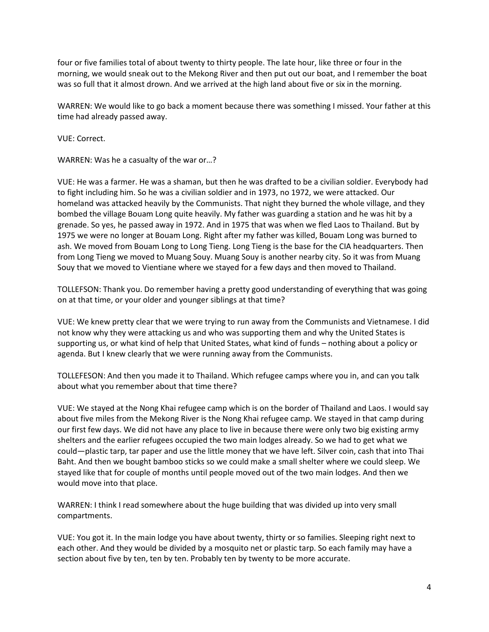four or five families total of about twenty to thirty people. The late hour, like three or four in the morning, we would sneak out to the Mekong River and then put out our boat, and I remember the boat was so full that it almost drown. And we arrived at the high land about five or six in the morning.

WARREN: We would like to go back a moment because there was something I missed. Your father at this time had already passed away.

VUE: Correct.

WARREN: Was he a casualty of the war or…?

VUE: He was a farmer. He was a shaman, but then he was drafted to be a civilian soldier. Everybody had to fight including him. So he was a civilian soldier and in 1973, no 1972, we were attacked. Our homeland was attacked heavily by the Communists. That night they burned the whole village, and they bombed the village Bouam Long quite heavily. My father was guarding a station and he was hit by a grenade. So yes, he passed away in 1972. And in 1975 that was when we fled Laos to Thailand. But by 1975 we were no longer at Bouam Long. Right after my father was killed, Bouam Long was burned to ash. We moved from Bouam Long to Long Tieng. Long Tieng is the base for the CIA headquarters. Then from Long Tieng we moved to Muang Souy. Muang Souy is another nearby city. So it was from Muang Souy that we moved to Vientiane where we stayed for a few days and then moved to Thailand.

TOLLEFSON: Thank you. Do remember having a pretty good understanding of everything that was going on at that time, or your older and younger siblings at that time?

VUE: We knew pretty clear that we were trying to run away from the Communists and Vietnamese. I did not know why they were attacking us and who was supporting them and why the United States is supporting us, or what kind of help that United States, what kind of funds – nothing about a policy or agenda. But I knew clearly that we were running away from the Communists.

TOLLEFESON: And then you made it to Thailand. Which refugee camps where you in, and can you talk about what you remember about that time there?

VUE: We stayed at the Nong Khai refugee camp which is on the border of Thailand and Laos. I would say about five miles from the Mekong River is the Nong Khai refugee camp. We stayed in that camp during our first few days. We did not have any place to live in because there were only two big existing army shelters and the earlier refugees occupied the two main lodges already. So we had to get what we could—plastic tarp, tar paper and use the little money that we have left. Silver coin, cash that into Thai Baht. And then we bought bamboo sticks so we could make a small shelter where we could sleep. We stayed like that for couple of months until people moved out of the two main lodges. And then we would move into that place.

WARREN: I think I read somewhere about the huge building that was divided up into very small compartments.

VUE: You got it. In the main lodge you have about twenty, thirty or so families. Sleeping right next to each other. And they would be divided by a mosquito net or plastic tarp. So each family may have a section about five by ten, ten by ten. Probably ten by twenty to be more accurate.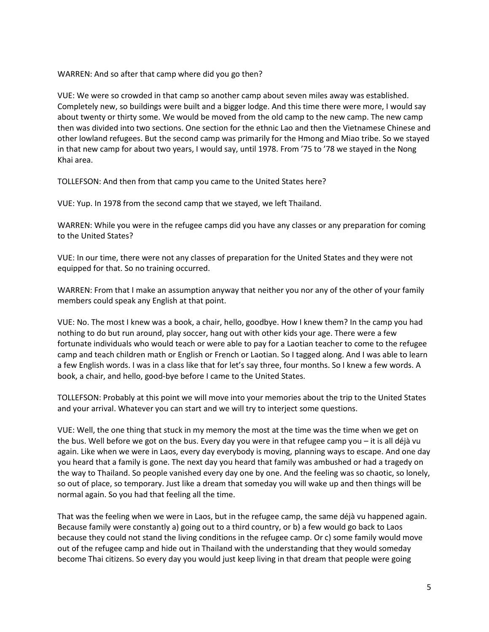WARREN: And so after that camp where did you go then?

VUE: We were so crowded in that camp so another camp about seven miles away was established. Completely new, so buildings were built and a bigger lodge. And this time there were more, I would say about twenty or thirty some. We would be moved from the old camp to the new camp. The new camp then was divided into two sections. One section for the ethnic Lao and then the Vietnamese Chinese and other lowland refugees. But the second camp was primarily for the Hmong and Miao tribe. So we stayed in that new camp for about two years, I would say, until 1978. From '75 to '78 we stayed in the Nong Khai area.

TOLLEFSON: And then from that camp you came to the United States here?

VUE: Yup. In 1978 from the second camp that we stayed, we left Thailand.

WARREN: While you were in the refugee camps did you have any classes or any preparation for coming to the United States?

VUE: In our time, there were not any classes of preparation for the United States and they were not equipped for that. So no training occurred.

WARREN: From that I make an assumption anyway that neither you nor any of the other of your family members could speak any English at that point.

VUE: No. The most I knew was a book, a chair, hello, goodbye. How I knew them? In the camp you had nothing to do but run around, play soccer, hang out with other kids your age. There were a few fortunate individuals who would teach or were able to pay for a Laotian teacher to come to the refugee camp and teach children math or English or French or Laotian. So I tagged along. And I was able to learn a few English words. I was in a class like that for let's say three, four months. So I knew a few words. A book, a chair, and hello, good-bye before I came to the United States.

TOLLEFSON: Probably at this point we will move into your memories about the trip to the United States and your arrival. Whatever you can start and we will try to interject some questions.

VUE: Well, the one thing that stuck in my memory the most at the time was the time when we get on the bus. Well before we got on the bus. Every day you were in that refugee camp you – it is all déjà vu again. Like when we were in Laos, every day everybody is moving, planning ways to escape. And one day you heard that a family is gone. The next day you heard that family was ambushed or had a tragedy on the way to Thailand. So people vanished every day one by one. And the feeling was so chaotic, so lonely, so out of place, so temporary. Just like a dream that someday you will wake up and then things will be normal again. So you had that feeling all the time.

That was the feeling when we were in Laos, but in the refugee camp, the same déjà vu happened again. Because family were constantly a) going out to a third country, or b) a few would go back to Laos because they could not stand the living conditions in the refugee camp. Or c) some family would move out of the refugee camp and hide out in Thailand with the understanding that they would someday become Thai citizens. So every day you would just keep living in that dream that people were going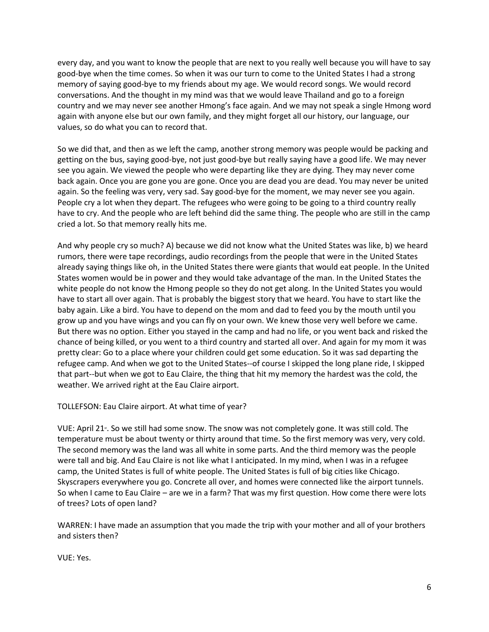every day, and you want to know the people that are next to you really well because you will have to say good-bye when the time comes. So when it was our turn to come to the United States I had a strong memory of saying good-bye to my friends about my age. We would record songs. We would record conversations. And the thought in my mind was that we would leave Thailand and go to a foreign country and we may never see another Hmong's face again. And we may not speak a single Hmong word again with anyone else but our own family, and they might forget all our history, our language, our values, so do what you can to record that.

So we did that, and then as we left the camp, another strong memory was people would be packing and getting on the bus, saying good-bye, not just good-bye but really saying have a good life. We may never see you again. We viewed the people who were departing like they are dying. They may never come back again. Once you are gone you are gone. Once you are dead you are dead. You may never be united again. So the feeling was very, very sad. Say good-bye for the moment, we may never see you again. People cry a lot when they depart. The refugees who were going to be going to a third country really have to cry. And the people who are left behind did the same thing. The people who are still in the camp cried a lot. So that memory really hits me.

And why people cry so much? A) because we did not know what the United States was like, b) we heard rumors, there were tape recordings, audio recordings from the people that were in the United States already saying things like oh, in the United States there were giants that would eat people. In the United States women would be in power and they would take advantage of the man. In the United States the white people do not know the Hmong people so they do not get along. In the United States you would have to start all over again. That is probably the biggest story that we heard. You have to start like the baby again. Like a bird. You have to depend on the mom and dad to feed you by the mouth until you grow up and you have wings and you can fly on your own. We knew those very well before we came. But there was no option. Either you stayed in the camp and had no life, or you went back and risked the chance of being killed, or you went to a third country and started all over. And again for my mom it was pretty clear: Go to a place where your children could get some education. So it was sad departing the refugee camp. And when we got to the United States--of course I skipped the long plane ride, I skipped that part--but when we got to Eau Claire, the thing that hit my memory the hardest was the cold, the weather. We arrived right at the Eau Claire airport.

TOLLEFSON: Eau Claire airport. At what time of year?

VUE: April 21 $*$ . So we still had some snow. The snow was not completely gone. It was still cold. The temperature must be about twenty or thirty around that time. So the first memory was very, very cold. The second memory was the land was all white in some parts. And the third memory was the people were tall and big. And Eau Claire is not like what I anticipated. In my mind, when I was in a refugee camp, the United States is full of white people. The United States is full of big cities like Chicago. Skyscrapers everywhere you go. Concrete all over, and homes were connected like the airport tunnels. So when I came to Eau Claire – are we in a farm? That was my first question. How come there were lots of trees? Lots of open land?

WARREN: I have made an assumption that you made the trip with your mother and all of your brothers and sisters then?

VUE: Yes.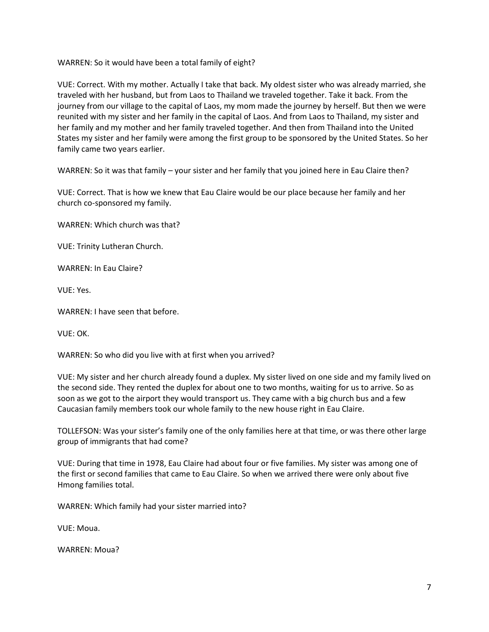WARREN: So it would have been a total family of eight?

VUE: Correct. With my mother. Actually I take that back. My oldest sister who was already married, she traveled with her husband, but from Laos to Thailand we traveled together. Take it back. From the journey from our village to the capital of Laos, my mom made the journey by herself. But then we were reunited with my sister and her family in the capital of Laos. And from Laos to Thailand, my sister and her family and my mother and her family traveled together. And then from Thailand into the United States my sister and her family were among the first group to be sponsored by the United States. So her family came two years earlier.

WARREN: So it was that family – your sister and her family that you joined here in Eau Claire then?

VUE: Correct. That is how we knew that Eau Claire would be our place because her family and her church co-sponsored my family.

WARREN: Which church was that?

VUE: Trinity Lutheran Church.

WARREN: In Eau Claire?

VUE: Yes.

WARREN: I have seen that before.

VUE: OK.

WARREN: So who did you live with at first when you arrived?

VUE: My sister and her church already found a duplex. My sister lived on one side and my family lived on the second side. They rented the duplex for about one to two months, waiting for us to arrive. So as soon as we got to the airport they would transport us. They came with a big church bus and a few Caucasian family members took our whole family to the new house right in Eau Claire.

TOLLEFSON: Was your sister's family one of the only families here at that time, or was there other large group of immigrants that had come?

VUE: During that time in 1978, Eau Claire had about four or five families. My sister was among one of the first or second families that came to Eau Claire. So when we arrived there were only about five Hmong families total.

WARREN: Which family had your sister married into?

VUE: Moua.

WARREN: Moua?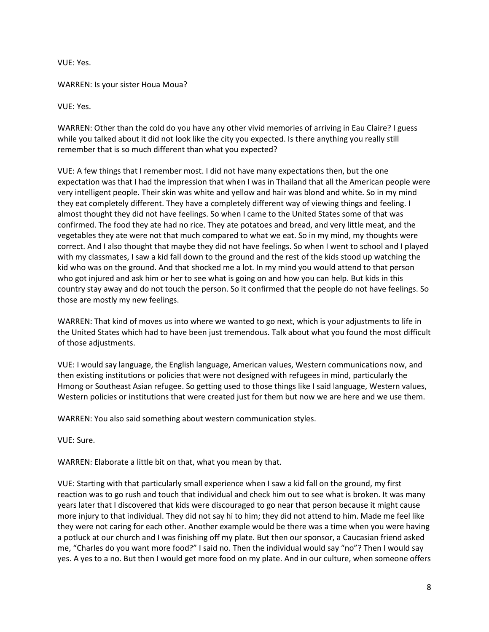VUE: Yes.

WARREN: Is your sister Houa Moua?

VUE: Yes.

WARREN: Other than the cold do you have any other vivid memories of arriving in Eau Claire? I guess while you talked about it did not look like the city you expected. Is there anything you really still remember that is so much different than what you expected?

VUE: A few things that I remember most. I did not have many expectations then, but the one expectation was that I had the impression that when I was in Thailand that all the American people were very intelligent people. Their skin was white and yellow and hair was blond and white. So in my mind they eat completely different. They have a completely different way of viewing things and feeling. I almost thought they did not have feelings. So when I came to the United States some of that was confirmed. The food they ate had no rice. They ate potatoes and bread, and very little meat, and the vegetables they ate were not that much compared to what we eat. So in my mind, my thoughts were correct. And I also thought that maybe they did not have feelings. So when I went to school and I played with my classmates, I saw a kid fall down to the ground and the rest of the kids stood up watching the kid who was on the ground. And that shocked me a lot. In my mind you would attend to that person who got injured and ask him or her to see what is going on and how you can help. But kids in this country stay away and do not touch the person. So it confirmed that the people do not have feelings. So those are mostly my new feelings.

WARREN: That kind of moves us into where we wanted to go next, which is your adjustments to life in the United States which had to have been just tremendous. Talk about what you found the most difficult of those adjustments.

VUE: I would say language, the English language, American values, Western communications now, and then existing institutions or policies that were not designed with refugees in mind, particularly the Hmong or Southeast Asian refugee. So getting used to those things like I said language, Western values, Western policies or institutions that were created just for them but now we are here and we use them.

WARREN: You also said something about western communication styles.

VUE: Sure.

WARREN: Elaborate a little bit on that, what you mean by that.

VUE: Starting with that particularly small experience when I saw a kid fall on the ground, my first reaction was to go rush and touch that individual and check him out to see what is broken. It was many years later that I discovered that kids were discouraged to go near that person because it might cause more injury to that individual. They did not say hi to him; they did not attend to him. Made me feel like they were not caring for each other. Another example would be there was a time when you were having a potluck at our church and I was finishing off my plate. But then our sponsor, a Caucasian friend asked me, "Charles do you want more food?" I said no. Then the individual would say "no"? Then I would say yes. A yes to a no. But then I would get more food on my plate. And in our culture, when someone offers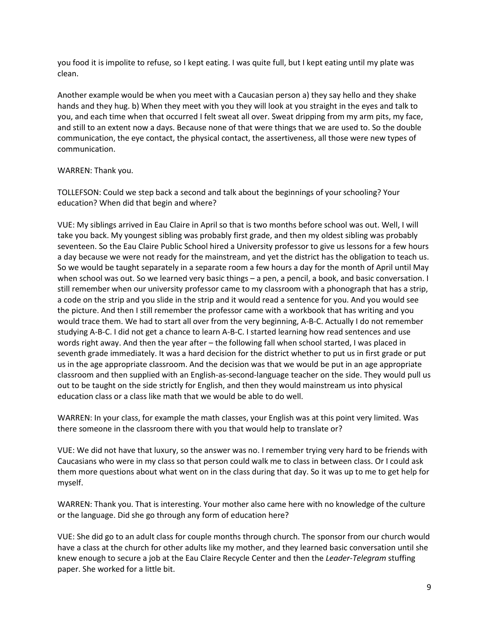you food it is impolite to refuse, so I kept eating. I was quite full, but I kept eating until my plate was clean.

Another example would be when you meet with a Caucasian person a) they say hello and they shake hands and they hug. b) When they meet with you they will look at you straight in the eyes and talk to you, and each time when that occurred I felt sweat all over. Sweat dripping from my arm pits, my face, and still to an extent now a days. Because none of that were things that we are used to. So the double communication, the eye contact, the physical contact, the assertiveness, all those were new types of communication.

## WARREN: Thank you.

TOLLEFSON: Could we step back a second and talk about the beginnings of your schooling? Your education? When did that begin and where?

VUE: My siblings arrived in Eau Claire in April so that is two months before school was out. Well, I will take you back. My youngest sibling was probably first grade, and then my oldest sibling was probably seventeen. So the Eau Claire Public School hired a University professor to give us lessons for a few hours a day because we were not ready for the mainstream, and yet the district has the obligation to teach us. So we would be taught separately in a separate room a few hours a day for the month of April until May when school was out. So we learned very basic things – a pen, a pencil, a book, and basic conversation. I still remember when our university professor came to my classroom with a phonograph that has a strip, a code on the strip and you slide in the strip and it would read a sentence for you. And you would see the picture. And then I still remember the professor came with a workbook that has writing and you would trace them. We had to start all over from the very beginning, A-B-C. Actually I do not remember studying A-B-C. I did not get a chance to learn A-B-C. I started learning how read sentences and use words right away. And then the year after – the following fall when school started, I was placed in seventh grade immediately. It was a hard decision for the district whether to put us in first grade or put us in the age appropriate classroom. And the decision was that we would be put in an age appropriate classroom and then supplied with an English-as-second-language teacher on the side. They would pull us out to be taught on the side strictly for English, and then they would mainstream us into physical education class or a class like math that we would be able to do well.

WARREN: In your class, for example the math classes, your English was at this point very limited. Was there someone in the classroom there with you that would help to translate or?

VUE: We did not have that luxury, so the answer was no. I remember trying very hard to be friends with Caucasians who were in my class so that person could walk me to class in between class. Or I could ask them more questions about what went on in the class during that day. So it was up to me to get help for myself.

WARREN: Thank you. That is interesting. Your mother also came here with no knowledge of the culture or the language. Did she go through any form of education here?

VUE: She did go to an adult class for couple months through church. The sponsor from our church would have a class at the church for other adults like my mother, and they learned basic conversation until she knew enough to secure a job at the Eau Claire Recycle Center and then the *Leader-Telegram* stuffing paper. She worked for a little bit.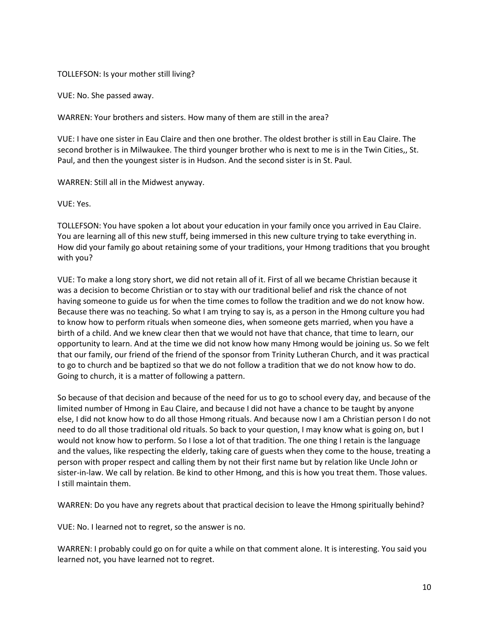## TOLLEFSON: Is your mother still living?

VUE: No. She passed away.

WARREN: Your brothers and sisters. How many of them are still in the area?

VUE: I have one sister in Eau Claire and then one brother. The oldest brother is still in Eau Claire. The second brother is in Milwaukee. The third younger brother who is next to me is in the Twin Cities,, St. Paul, and then the youngest sister is in Hudson. And the second sister is in St. Paul.

WARREN: Still all in the Midwest anyway.

VUE: Yes.

TOLLEFSON: You have spoken a lot about your education in your family once you arrived in Eau Claire. You are learning all of this new stuff, being immersed in this new culture trying to take everything in. How did your family go about retaining some of your traditions, your Hmong traditions that you brought with you?

VUE: To make a long story short, we did not retain all of it. First of all we became Christian because it was a decision to become Christian or to stay with our traditional belief and risk the chance of not having someone to guide us for when the time comes to follow the tradition and we do not know how. Because there was no teaching. So what I am trying to say is, as a person in the Hmong culture you had to know how to perform rituals when someone dies, when someone gets married, when you have a birth of a child. And we knew clear then that we would not have that chance, that time to learn, our opportunity to learn. And at the time we did not know how many Hmong would be joining us. So we felt that our family, our friend of the friend of the sponsor from Trinity Lutheran Church, and it was practical to go to church and be baptized so that we do not follow a tradition that we do not know how to do. Going to church, it is a matter of following a pattern.

So because of that decision and because of the need for us to go to school every day, and because of the limited number of Hmong in Eau Claire, and because I did not have a chance to be taught by anyone else, I did not know how to do all those Hmong rituals. And because now I am a Christian person I do not need to do all those traditional old rituals. So back to your question, I may know what is going on, but I would not know how to perform. So I lose a lot of that tradition. The one thing I retain is the language and the values, like respecting the elderly, taking care of guests when they come to the house, treating a person with proper respect and calling them by not their first name but by relation like Uncle John or sister-in-law. We call by relation. Be kind to other Hmong, and this is how you treat them. Those values. I still maintain them.

WARREN: Do you have any regrets about that practical decision to leave the Hmong spiritually behind?

VUE: No. I learned not to regret, so the answer is no.

WARREN: I probably could go on for quite a while on that comment alone. It is interesting. You said you learned not, you have learned not to regret.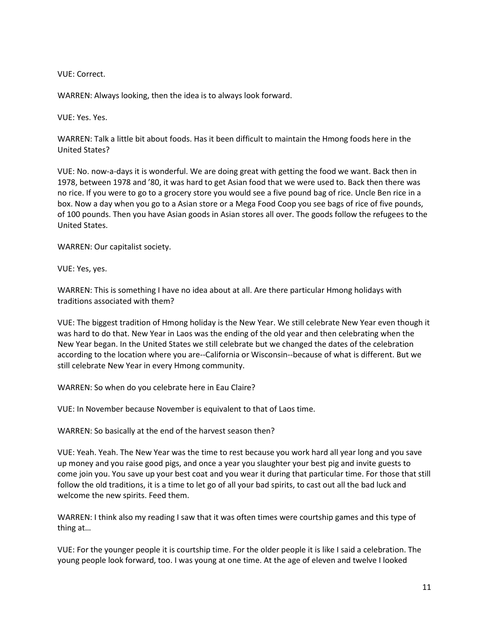VUE: Correct.

WARREN: Always looking, then the idea is to always look forward.

VUE: Yes. Yes.

WARREN: Talk a little bit about foods. Has it been difficult to maintain the Hmong foods here in the United States?

VUE: No. now-a-days it is wonderful. We are doing great with getting the food we want. Back then in 1978, between 1978 and '80, it was hard to get Asian food that we were used to. Back then there was no rice. If you were to go to a grocery store you would see a five pound bag of rice. Uncle Ben rice in a box. Now a day when you go to a Asian store or a Mega Food Coop you see bags of rice of five pounds, of 100 pounds. Then you have Asian goods in Asian stores all over. The goods follow the refugees to the United States.

WARREN: Our capitalist society.

VUE: Yes, yes.

WARREN: This is something I have no idea about at all. Are there particular Hmong holidays with traditions associated with them?

VUE: The biggest tradition of Hmong holiday is the New Year. We still celebrate New Year even though it was hard to do that. New Year in Laos was the ending of the old year and then celebrating when the New Year began. In the United States we still celebrate but we changed the dates of the celebration according to the location where you are--California or Wisconsin--because of what is different. But we still celebrate New Year in every Hmong community.

WARREN: So when do you celebrate here in Eau Claire?

VUE: In November because November is equivalent to that of Laos time.

WARREN: So basically at the end of the harvest season then?

VUE: Yeah. Yeah. The New Year was the time to rest because you work hard all year long and you save up money and you raise good pigs, and once a year you slaughter your best pig and invite guests to come join you. You save up your best coat and you wear it during that particular time. For those that still follow the old traditions, it is a time to let go of all your bad spirits, to cast out all the bad luck and welcome the new spirits. Feed them.

WARREN: I think also my reading I saw that it was often times were courtship games and this type of thing at…

VUE: For the younger people it is courtship time. For the older people it is like I said a celebration. The young people look forward, too. I was young at one time. At the age of eleven and twelve I looked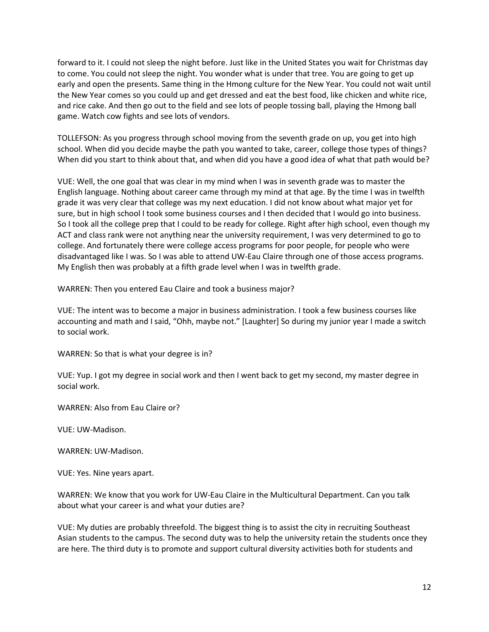forward to it. I could not sleep the night before. Just like in the United States you wait for Christmas day to come. You could not sleep the night. You wonder what is under that tree. You are going to get up early and open the presents. Same thing in the Hmong culture for the New Year. You could not wait until the New Year comes so you could up and get dressed and eat the best food, like chicken and white rice, and rice cake. And then go out to the field and see lots of people tossing ball, playing the Hmong ball game. Watch cow fights and see lots of vendors.

TOLLEFSON: As you progress through school moving from the seventh grade on up, you get into high school. When did you decide maybe the path you wanted to take, career, college those types of things? When did you start to think about that, and when did you have a good idea of what that path would be?

VUE: Well, the one goal that was clear in my mind when I was in seventh grade was to master the English language. Nothing about career came through my mind at that age. By the time I was in twelfth grade it was very clear that college was my next education. I did not know about what major yet for sure, but in high school I took some business courses and I then decided that I would go into business. So I took all the college prep that I could to be ready for college. Right after high school, even though my ACT and class rank were not anything near the university requirement, I was very determined to go to college. And fortunately there were college access programs for poor people, for people who were disadvantaged like I was. So I was able to attend UW-Eau Claire through one of those access programs. My English then was probably at a fifth grade level when I was in twelfth grade.

WARREN: Then you entered Eau Claire and took a business major?

VUE: The intent was to become a major in business administration. I took a few business courses like accounting and math and I said, "Ohh, maybe not." [Laughter] So during my junior year I made a switch to social work.

WARREN: So that is what your degree is in?

VUE: Yup. I got my degree in social work and then I went back to get my second, my master degree in social work.

WARREN: Also from Eau Claire or?

VUE: UW-Madison.

WARREN: UW-Madison.

VUE: Yes. Nine years apart.

WARREN: We know that you work for UW-Eau Claire in the Multicultural Department. Can you talk about what your career is and what your duties are?

VUE: My duties are probably threefold. The biggest thing is to assist the city in recruiting Southeast Asian students to the campus. The second duty was to help the university retain the students once they are here. The third duty is to promote and support cultural diversity activities both for students and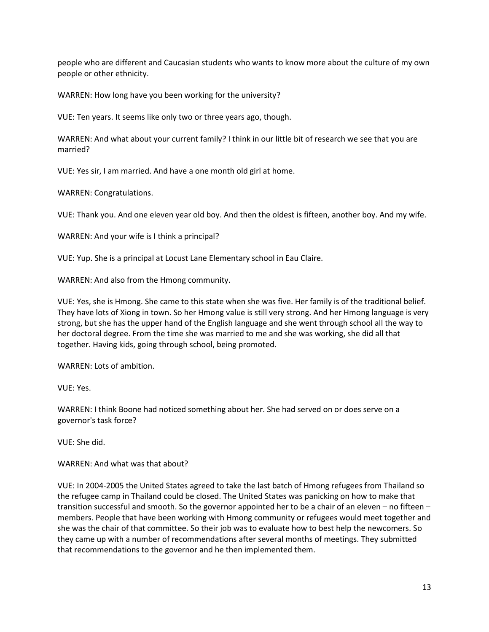people who are different and Caucasian students who wants to know more about the culture of my own people or other ethnicity.

WARREN: How long have you been working for the university?

VUE: Ten years. It seems like only two or three years ago, though.

WARREN: And what about your current family? I think in our little bit of research we see that you are married?

VUE: Yes sir, I am married. And have a one month old girl at home.

WARREN: Congratulations.

VUE: Thank you. And one eleven year old boy. And then the oldest is fifteen, another boy. And my wife.

WARREN: And your wife is I think a principal?

VUE: Yup. She is a principal at Locust Lane Elementary school in Eau Claire.

WARREN: And also from the Hmong community.

VUE: Yes, she is Hmong. She came to this state when she was five. Her family is of the traditional belief. They have lots of Xiong in town. So her Hmong value is still very strong. And her Hmong language is very strong, but she has the upper hand of the English language and she went through school all the way to her doctoral degree. From the time she was married to me and she was working, she did all that together. Having kids, going through school, being promoted.

WARREN: Lots of ambition.

VUE: Yes.

WARREN: I think Boone had noticed something about her. She had served on or does serve on a governor's task force?

VUE: She did.

WARREN: And what was that about?

VUE: In 2004-2005 the United States agreed to take the last batch of Hmong refugees from Thailand so the refugee camp in Thailand could be closed. The United States was panicking on how to make that transition successful and smooth. So the governor appointed her to be a chair of an eleven – no fifteen – members. People that have been working with Hmong community or refugees would meet together and she was the chair of that committee. So their job was to evaluate how to best help the newcomers. So they came up with a number of recommendations after several months of meetings. They submitted that recommendations to the governor and he then implemented them.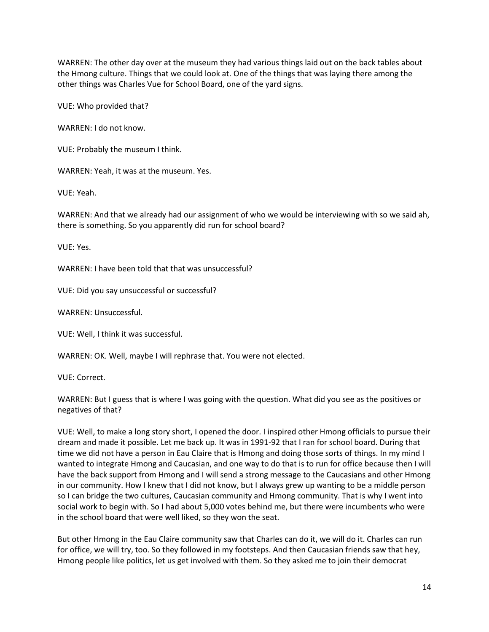WARREN: The other day over at the museum they had various things laid out on the back tables about the Hmong culture. Things that we could look at. One of the things that was laying there among the other things was Charles Vue for School Board, one of the yard signs.

VUE: Who provided that?

WARREN: I do not know.

VUE: Probably the museum I think.

WARREN: Yeah, it was at the museum. Yes.

VUE: Yeah.

WARREN: And that we already had our assignment of who we would be interviewing with so we said ah, there is something. So you apparently did run for school board?

VUE: Yes.

WARREN: I have been told that that was unsuccessful?

VUE: Did you say unsuccessful or successful?

WARREN: Unsuccessful.

VUE: Well, I think it was successful.

WARREN: OK. Well, maybe I will rephrase that. You were not elected.

VUE: Correct.

WARREN: But I guess that is where I was going with the question. What did you see as the positives or negatives of that?

VUE: Well, to make a long story short, I opened the door. I inspired other Hmong officials to pursue their dream and made it possible. Let me back up. It was in 1991-92 that I ran for school board. During that time we did not have a person in Eau Claire that is Hmong and doing those sorts of things. In my mind I wanted to integrate Hmong and Caucasian, and one way to do that is to run for office because then I will have the back support from Hmong and I will send a strong message to the Caucasians and other Hmong in our community. How I knew that I did not know, but I always grew up wanting to be a middle person so I can bridge the two cultures, Caucasian community and Hmong community. That is why I went into social work to begin with. So I had about 5,000 votes behind me, but there were incumbents who were in the school board that were well liked, so they won the seat.

But other Hmong in the Eau Claire community saw that Charles can do it, we will do it. Charles can run for office, we will try, too. So they followed in my footsteps. And then Caucasian friends saw that hey, Hmong people like politics, let us get involved with them. So they asked me to join their democrat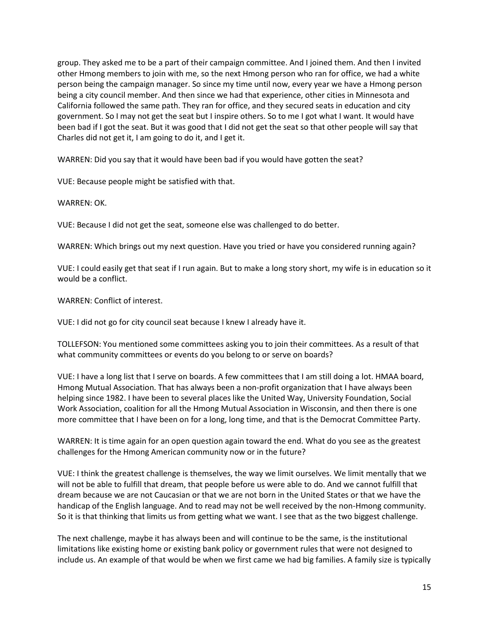group. They asked me to be a part of their campaign committee. And I joined them. And then I invited other Hmong members to join with me, so the next Hmong person who ran for office, we had a white person being the campaign manager. So since my time until now, every year we have a Hmong person being a city council member. And then since we had that experience, other cities in Minnesota and California followed the same path. They ran for office, and they secured seats in education and city government. So I may not get the seat but I inspire others. So to me I got what I want. It would have been bad if I got the seat. But it was good that I did not get the seat so that other people will say that Charles did not get it, I am going to do it, and I get it.

WARREN: Did you say that it would have been bad if you would have gotten the seat?

VUE: Because people might be satisfied with that.

WARREN: OK.

VUE: Because I did not get the seat, someone else was challenged to do better.

WARREN: Which brings out my next question. Have you tried or have you considered running again?

VUE: I could easily get that seat if I run again. But to make a long story short, my wife is in education so it would be a conflict.

WARREN: Conflict of interest.

VUE: I did not go for city council seat because I knew I already have it.

TOLLEFSON: You mentioned some committees asking you to join their committees. As a result of that what community committees or events do you belong to or serve on boards?

VUE: I have a long list that I serve on boards. A few committees that I am still doing a lot. HMAA board, Hmong Mutual Association. That has always been a non-profit organization that I have always been helping since 1982. I have been to several places like the United Way, University Foundation, Social Work Association, coalition for all the Hmong Mutual Association in Wisconsin, and then there is one more committee that I have been on for a long, long time, and that is the Democrat Committee Party.

WARREN: It is time again for an open question again toward the end. What do you see as the greatest challenges for the Hmong American community now or in the future?

VUE: I think the greatest challenge is themselves, the way we limit ourselves. We limit mentally that we will not be able to fulfill that dream, that people before us were able to do. And we cannot fulfill that dream because we are not Caucasian or that we are not born in the United States or that we have the handicap of the English language. And to read may not be well received by the non-Hmong community. So it is that thinking that limits us from getting what we want. I see that as the two biggest challenge.

The next challenge, maybe it has always been and will continue to be the same, is the institutional limitations like existing home or existing bank policy or government rules that were not designed to include us. An example of that would be when we first came we had big families. A family size is typically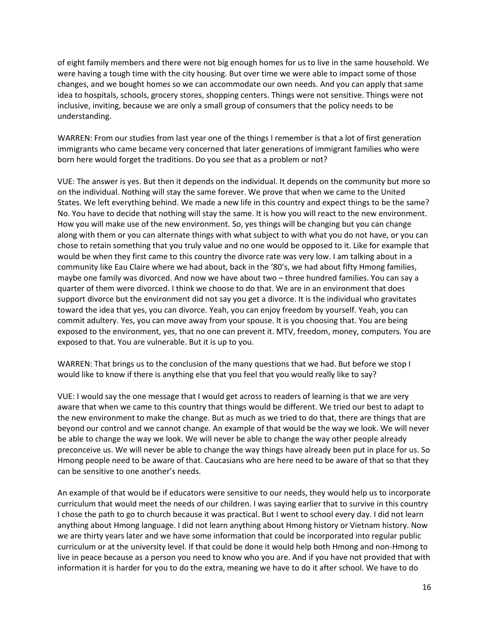of eight family members and there were not big enough homes for us to live in the same household. We were having a tough time with the city housing. But over time we were able to impact some of those changes, and we bought homes so we can accommodate our own needs. And you can apply that same idea to hospitals, schools, grocery stores, shopping centers. Things were not sensitive. Things were not inclusive, inviting, because we are only a small group of consumers that the policy needs to be understanding.

WARREN: From our studies from last year one of the things I remember is that a lot of first generation immigrants who came became very concerned that later generations of immigrant families who were born here would forget the traditions. Do you see that as a problem or not?

VUE: The answer is yes. But then it depends on the individual. It depends on the community but more so on the individual. Nothing will stay the same forever. We prove that when we came to the United States. We left everything behind. We made a new life in this country and expect things to be the same? No. You have to decide that nothing will stay the same. It is how you will react to the new environment. How you will make use of the new environment. So, yes things will be changing but you can change along with them or you can alternate things with what subject to with what you do not have, or you can chose to retain something that you truly value and no one would be opposed to it. Like for example that would be when they first came to this country the divorce rate was very low. I am talking about in a community like Eau Claire where we had about, back in the '80's, we had about fifty Hmong families, maybe one family was divorced. And now we have about two – three hundred families. You can say a quarter of them were divorced. I think we choose to do that. We are in an environment that does support divorce but the environment did not say you get a divorce. It is the individual who gravitates toward the idea that yes, you can divorce. Yeah, you can enjoy freedom by yourself. Yeah, you can commit adultery. Yes, you can move away from your spouse. It is you choosing that. You are being exposed to the environment, yes, that no one can prevent it. MTV, freedom, money, computers. You are exposed to that. You are vulnerable. But it is up to you.

WARREN: That brings us to the conclusion of the many questions that we had. But before we stop I would like to know if there is anything else that you feel that you would really like to say?

VUE: I would say the one message that I would get across to readers of learning is that we are very aware that when we came to this country that things would be different. We tried our best to adapt to the new environment to make the change. But as much as we tried to do that, there are things that are beyond our control and we cannot change. An example of that would be the way we look. We will never be able to change the way we look. We will never be able to change the way other people already preconceive us. We will never be able to change the way things have already been put in place for us. So Hmong people need to be aware of that. Caucasians who are here need to be aware of that so that they can be sensitive to one another's needs.

An example of that would be if educators were sensitive to our needs, they would help us to incorporate curriculum that would meet the needs of our children. I was saying earlier that to survive in this country I chose the path to go to church because it was practical. But I went to school every day. I did not learn anything about Hmong language. I did not learn anything about Hmong history or Vietnam history. Now we are thirty years later and we have some information that could be incorporated into regular public curriculum or at the university level. If that could be done it would help both Hmong and non-Hmong to live in peace because as a person you need to know who you are. And if you have not provided that with information it is harder for you to do the extra, meaning we have to do it after school. We have to do